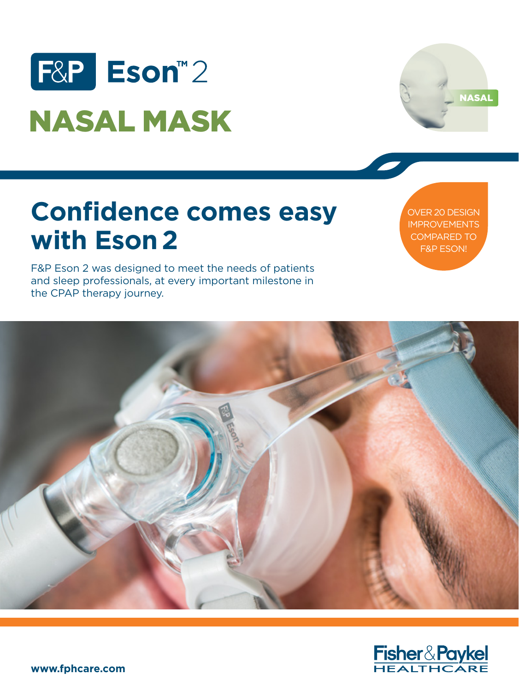



# **Confidence comes easy with Eson 2**

OVER 20 DESIGN IMPROVEMENTS COMPARED TO F&P ESON!

F&P Eson 2 was designed to meet the needs of patients and sleep professionals, at every important milestone in the CPAP therapy journey.



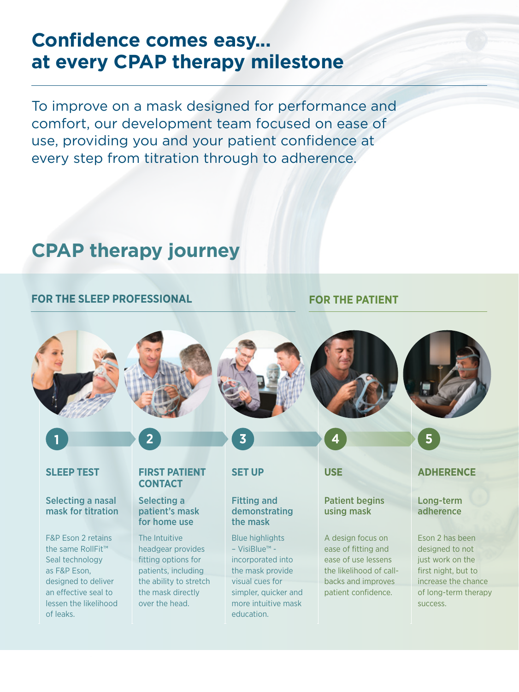## **Confidence comes easy... at every CPAP therapy milestone**

To improve on a mask designed for performance and comfort, our development team focused on ease of use, providing you and your patient confidence at every step from titration through to adherence.

## **CPAP therapy journey**

#### **FOR THE SLEEP PROFESSIONAL FOR THE PATIENT**

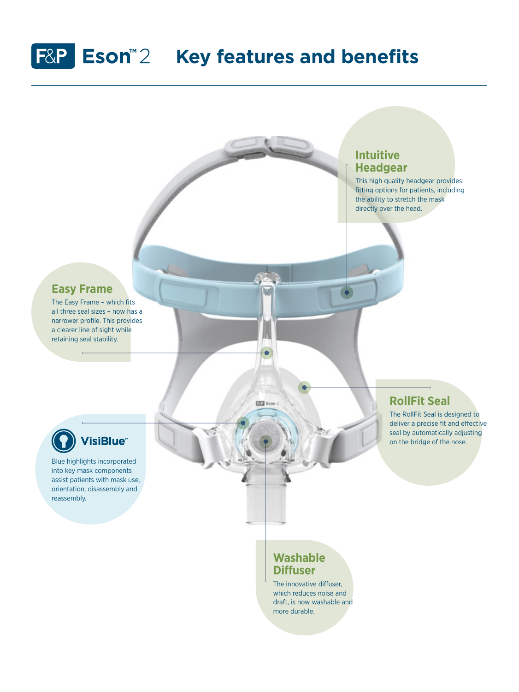# **F&P** Eson<sup>™2</sup> Key features and benefits

## **Intuitive Headgear**  This high quality headgear provides fitting options for patients, including the ability to stretch the mask directly over the head.**Easy Frame**  The Easy Frame – which fits all three seal sizes – now has a narrower profile. This provides a clearer line of sight while retaining seal stability. ċ **RollFit Seal**   $22$  Eson: The RollFit Seal is designed to deliver a precise fit and effective seal by automatically adjusting **VisiBlue** on the bridge of the nose. Blue highlights incorporated into key mask components assist patients with mask use, orientation, disassembly and reassembly. **Washable Diffuser** The innovative diffuser,

which reduces noise and draft, is now washable and more durable.